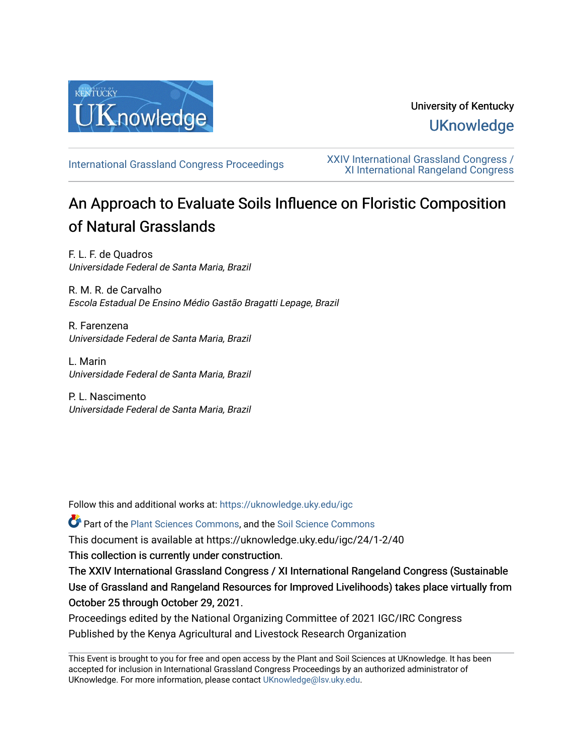

## University of Kentucky **UKnowledge**

[International Grassland Congress Proceedings](https://uknowledge.uky.edu/igc) [XXIV International Grassland Congress /](https://uknowledge.uky.edu/igc/24)  [XI International Rangeland Congress](https://uknowledge.uky.edu/igc/24) 

# An Approach to Evaluate Soils Influence on Floristic Composition of Natural Grasslands

F. L. F. de Quadros Universidade Federal de Santa Maria, Brazil

R. M. R. de Carvalho Escola Estadual De Ensino Médio Gastão Bragatti Lepage, Brazil

R. Farenzena Universidade Federal de Santa Maria, Brazil

L. Marin Universidade Federal de Santa Maria, Brazil

P. L. Nascimento Universidade Federal de Santa Maria, Brazil

Follow this and additional works at: [https://uknowledge.uky.edu/igc](https://uknowledge.uky.edu/igc?utm_source=uknowledge.uky.edu%2Figc%2F24%2F1-2%2F40&utm_medium=PDF&utm_campaign=PDFCoverPages) 

Part of the [Plant Sciences Commons](http://network.bepress.com/hgg/discipline/102?utm_source=uknowledge.uky.edu%2Figc%2F24%2F1-2%2F40&utm_medium=PDF&utm_campaign=PDFCoverPages), and the [Soil Science Commons](http://network.bepress.com/hgg/discipline/163?utm_source=uknowledge.uky.edu%2Figc%2F24%2F1-2%2F40&utm_medium=PDF&utm_campaign=PDFCoverPages) 

This document is available at https://uknowledge.uky.edu/igc/24/1-2/40

This collection is currently under construction.

The XXIV International Grassland Congress / XI International Rangeland Congress (Sustainable Use of Grassland and Rangeland Resources for Improved Livelihoods) takes place virtually from October 25 through October 29, 2021.

Proceedings edited by the National Organizing Committee of 2021 IGC/IRC Congress Published by the Kenya Agricultural and Livestock Research Organization

This Event is brought to you for free and open access by the Plant and Soil Sciences at UKnowledge. It has been accepted for inclusion in International Grassland Congress Proceedings by an authorized administrator of UKnowledge. For more information, please contact [UKnowledge@lsv.uky.edu](mailto:UKnowledge@lsv.uky.edu).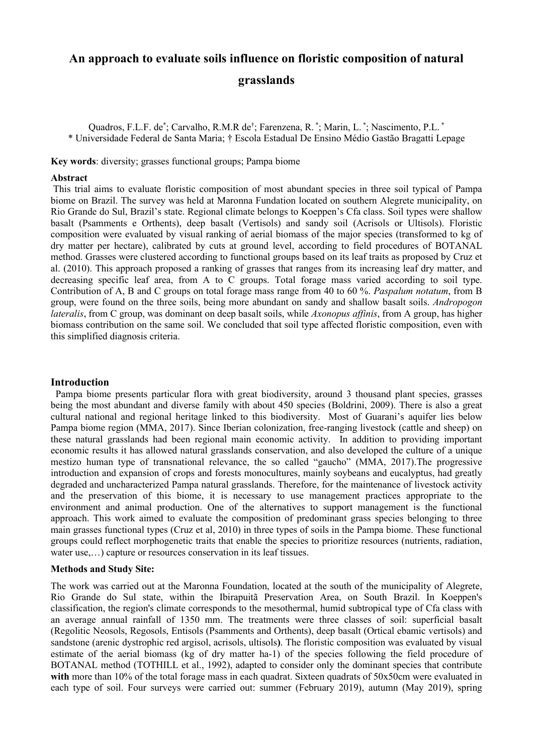### **An approach to evaluate soils influence on floristic composition of natural**

#### **grasslands**

Quadros, F.L.F. de<sup>\*</sup>; Carvalho, R.M.R de<sup>†</sup>; Farenzena, R. <sup>\*</sup>; Marin, L. <sup>\*</sup>; Nascimento, P.L. <sup>\*</sup> \* Universidade Federal de Santa Maria; † Escola Estadual De Ensino Médio Gastão Bragatti Lepage

**Key words**: diversity; grasses functional groups; Pampa biome

#### **Abstract**

This trial aims to evaluate floristic composition of most abundant species in three soil typical of Pampa biome on Brazil. The survey was held at Maronna Fundation located on southern Alegrete municipality, on Rio Grande do Sul, Brazil's state. Regional climate belongs to Koeppen's Cfa class. Soil types were shallow basalt (Psamments e Orthents), deep basalt (Vertisols) and sandy soil (Acrisols or Ultisols). Floristic composition were evaluated by visual ranking of aerial biomass of the major species (transformed to kg of dry matter per hectare), calibrated by cuts at ground level, according to field procedures of BOTANAL method. Grasses were clustered according to functional groups based on its leaf traits as proposed by Cruz et al. (2010). This approach proposed a ranking of grasses that ranges from its increasing leaf dry matter, and decreasing specific leaf area, from A to C groups. Total forage mass varied according to soil type. Contribution of A, B and C groups on total forage mass range from 40 to 60 %. *Paspalum notatum*, from B group, were found on the three soils, being more abundant on sandy and shallow basalt soils. *Andropogon lateralis*, from C group, was dominant on deep basalt soils, while *Axonopus affinis*, from A group, has higher biomass contribution on the same soil. We concluded that soil type affected floristic composition, even with this simplified diagnosis criteria.

#### **Introduction**

Pampa biome presents particular flora with great biodiversity, around 3 thousand plant species, grasses being the most abundant and diverse family with about 450 species (Boldrini, 2009). There is also a great cultural national and regional heritage linked to this biodiversity. Most of Guarani's aquifer lies below Pampa biome region (MMA, 2017). Since Iberian colonization, free-ranging livestock (cattle and sheep) on these natural grasslands had been regional main economic activity. In addition to providing important economic results it has allowed natural grasslands conservation, and also developed the culture of a unique mestizo human type of transnational relevance, the so called "gaucho" (MMA, 2017).The progressive introduction and expansion of crops and forests monocultures, mainly soybeans and eucalyptus, had greatly degraded and uncharacterized Pampa natural grasslands. Therefore, for the maintenance of livestock activity and the preservation of this biome, it is necessary to use management practices appropriate to the environment and animal production. One of the alternatives to support management is the functional approach. This work aimed to evaluate the composition of predominant grass species belonging to three main grasses functional types (Cruz et al, 2010) in three types of soils in the Pampa biome. These functional groups could reflect morphogenetic traits that enable the species to prioritize resources (nutrients, radiation, water use,…) capture or resources conservation in its leaf tissues.

#### **Methods and Study Site:**

The work was carried out at the Maronna Foundation, located at the south of the municipality of Alegrete, Rio Grande do Sul state, within the Ibirapuitã Preservation Area, on South Brazil. In Koeppen's classification, the region's climate corresponds to the mesothermal, humid subtropical type of Cfa class with an average annual rainfall of 1350 mm. The treatments were three classes of soil: superficial basalt (Regolitic Neosols, Regosols, Entisols (Psamments and Orthents), deep basalt (Ortical ebamic vertisols) and sandstone (arenic dystrophic red argisol, acrisols, ultisols**)**. The floristic composition was evaluated by visual estimate of the aerial biomass (kg of dry matter ha-1) of the species following the field procedure of BOTANAL method (TOTHILL et al., 1992), adapted to consider only the dominant species that contribute with more than 10% of the total forage mass in each quadrat. Sixteen quadrats of 50x50cm were evaluated in each type of soil. Four surveys were carried out: summer (February 2019), autumn (May 2019), spring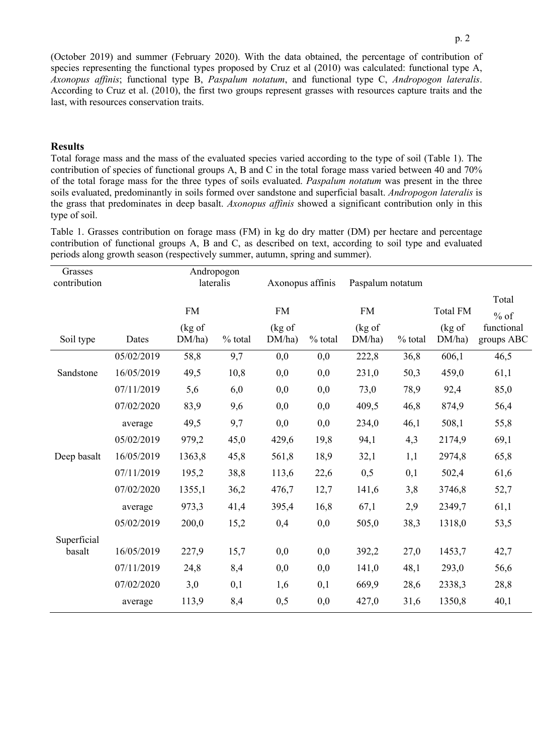(October 2019) and summer (February 2020). With the data obtained, the percentage of contribution of species representing the functional types proposed by Cruz et al (2010) was calculated: functional type A, *Axonopus affinis*; functional type B, *Paspalum notatum*, and functional type C, *Andropogon lateralis*. According to Cruz et al. (2010), the first two groups represent grasses with resources capture traits and the last, with resources conservation traits.

#### **Results**

Total forage mass and the mass of the evaluated species varied according to the type of soil (Table 1). The contribution of species of functional groups A, B and C in the total forage mass varied between 40 and 70% of the total forage mass for the three types of soils evaluated. *Paspalum notatum* was present in the three soils evaluated, predominantly in soils formed over sandstone and superficial basalt. *Andropogon lateralis* is the grass that predominates in deep basalt. *Axonopus affinis* showed a significant contribution only in this type of soil.

Table 1. Grasses contribution on forage mass (FM) in kg do dry matter (DM) per hectare and percentage contribution of functional groups A, B and C, as described on text, according to soil type and evaluated periods along growth season (respectively summer, autumn, spring and summer).

| Grasses<br>contribution |            | Andropogon<br>lateralis        |           | Axonopus affinis               |           | Paspalum notatum    |           |                           |                               |
|-------------------------|------------|--------------------------------|-----------|--------------------------------|-----------|---------------------|-----------|---------------------------|-------------------------------|
|                         |            | <b>FM</b><br>$(kg \text{ of }$ |           | <b>FM</b><br>$(kg \text{ of }$ |           | <b>FM</b><br>(kg of |           | <b>Total FM</b><br>(kg of | Total<br>$%$ of<br>functional |
| Soil type               | Dates      | DM/ha)                         | $%$ total | DM/ha)                         | $%$ total | DM/ha)              | $%$ total | DM/ha)                    | groups ABC                    |
|                         | 05/02/2019 | 58,8                           | 9,7       | 0,0                            | 0,0       | 222,8               | 36,8      | 606,1                     | 46,5                          |
| Sandstone               | 16/05/2019 | 49,5                           | 10,8      | 0,0                            | 0,0       | 231,0               | 50,3      | 459,0                     | 61,1                          |
|                         | 07/11/2019 | 5,6                            | 6,0       | 0,0                            | 0,0       | 73,0                | 78,9      | 92,4                      | 85,0                          |
|                         | 07/02/2020 | 83,9                           | 9,6       | 0,0                            | 0,0       | 409,5               | 46,8      | 874,9                     | 56,4                          |
|                         | average    | 49,5                           | 9,7       | 0,0                            | 0,0       | 234,0               | 46,1      | 508,1                     | 55,8                          |
|                         | 05/02/2019 | 979,2                          | 45,0      | 429,6                          | 19,8      | 94,1                | 4,3       | 2174,9                    | 69,1                          |
| Deep basalt             | 16/05/2019 | 1363,8                         | 45,8      | 561,8                          | 18,9      | 32,1                | 1,1       | 2974,8                    | 65,8                          |
|                         | 07/11/2019 | 195,2                          | 38,8      | 113,6                          | 22,6      | 0,5                 | 0,1       | 502,4                     | 61,6                          |
|                         | 07/02/2020 | 1355,1                         | 36,2      | 476,7                          | 12,7      | 141,6               | 3,8       | 3746,8                    | 52,7                          |
|                         | average    | 973,3                          | 41,4      | 395,4                          | 16,8      | 67,1                | 2,9       | 2349,7                    | 61,1                          |
|                         | 05/02/2019 | 200,0                          | 15,2      | 0,4                            | 0,0       | 505,0               | 38,3      | 1318,0                    | 53,5                          |
| Superficial             |            |                                |           |                                |           |                     |           |                           |                               |
| basalt                  | 16/05/2019 | 227,9                          | 15,7      | 0,0                            | 0,0       | 392,2               | 27,0      | 1453,7                    | 42,7                          |
|                         | 07/11/2019 | 24,8                           | 8,4       | 0,0                            | 0,0       | 141,0               | 48,1      | 293,0                     | 56,6                          |
|                         | 07/02/2020 | 3,0                            | 0,1       | 1,6                            | 0,1       | 669,9               | 28,6      | 2338,3                    | 28,8                          |
|                         | average    | 113,9                          | 8,4       | 0,5                            | 0,0       | 427,0               | 31,6      | 1350,8                    | 40,1                          |